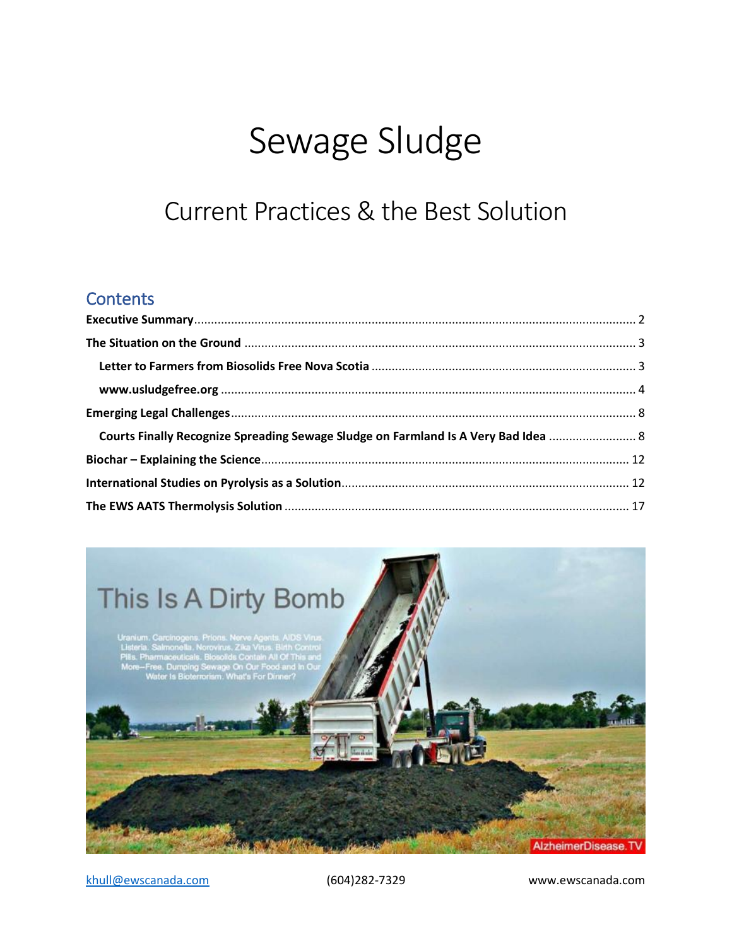# Sewage Sludge

## Current Practices & the Best Solution

### **Contents**

| Courts Finally Recognize Spreading Sewage Sludge on Farmland Is A Very Bad Idea  8 |  |
|------------------------------------------------------------------------------------|--|
|                                                                                    |  |
|                                                                                    |  |
|                                                                                    |  |
|                                                                                    |  |

## This Is A Dirty Bomb

sewage on our roc<br>prism, What's For D

[khull@ewscanada.com](mailto:khull@ewscanada.com) (604)282-7329 www.ewscanada.com

**AlzheimerDisease**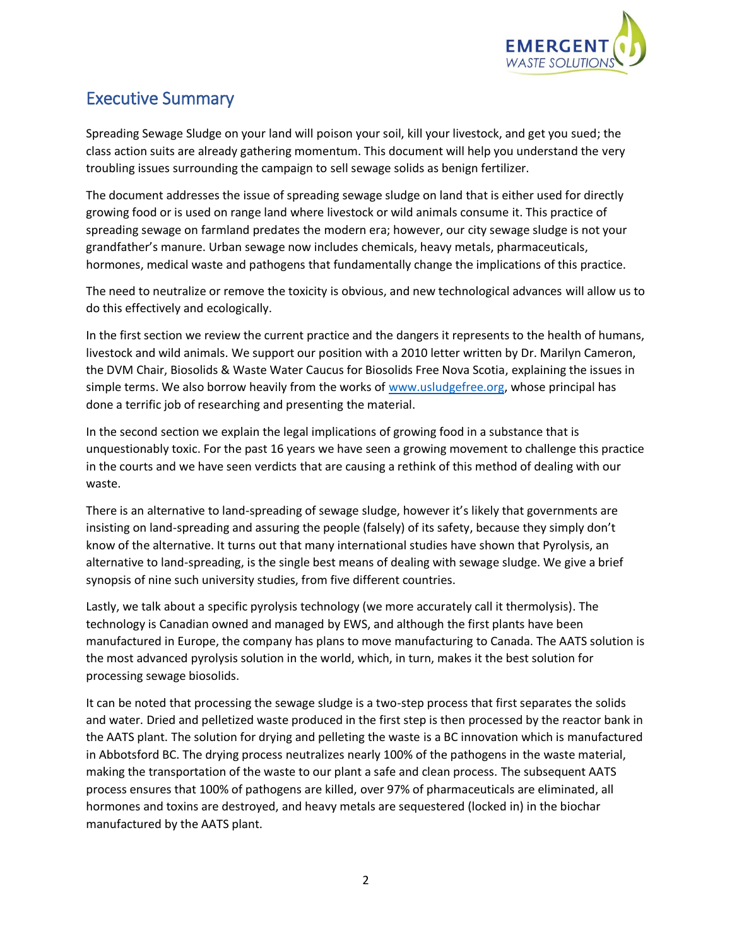

## <span id="page-1-0"></span>Executive Summary

Spreading Sewage Sludge on your land will poison your soil, kill your livestock, and get you sued; the class action suits are already gathering momentum. This document will help you understand the very troubling issues surrounding the campaign to sell sewage solids as benign fertilizer.

The document addresses the issue of spreading sewage sludge on land that is either used for directly growing food or is used on range land where livestock or wild animals consume it. This practice of spreading sewage on farmland predates the modern era; however, our city sewage sludge is not your grandfather's manure. Urban sewage now includes chemicals, heavy metals, pharmaceuticals, hormones, medical waste and pathogens that fundamentally change the implications of this practice.

The need to neutralize or remove the toxicity is obvious, and new technological advances will allow us to do this effectively and ecologically.

In the first section we review the current practice and the dangers it represents to the health of humans, livestock and wild animals. We support our position with a 2010 letter written by Dr. Marilyn Cameron, the DVM Chair, Biosolids & Waste Water Caucus for Biosolids Free Nova Scotia, explaining the issues in simple terms. We also borrow heavily from the works of [www.usludgefree.org,](http://www.usludgefree.org/) whose principal has done a terrific job of researching and presenting the material.

In the second section we explain the legal implications of growing food in a substance that is unquestionably toxic. For the past 16 years we have seen a growing movement to challenge this practice in the courts and we have seen verdicts that are causing a rethink of this method of dealing with our waste.

There is an alternative to land-spreading of sewage sludge, however it's likely that governments are insisting on land-spreading and assuring the people (falsely) of its safety, because they simply don't know of the alternative. It turns out that many international studies have shown that Pyrolysis, an alternative to land-spreading, is the single best means of dealing with sewage sludge. We give a brief synopsis of nine such university studies, from five different countries.

Lastly, we talk about a specific pyrolysis technology (we more accurately call it thermolysis). The technology is Canadian owned and managed by EWS, and although the first plants have been manufactured in Europe, the company has plans to move manufacturing to Canada. The AATS solution is the most advanced pyrolysis solution in the world, which, in turn, makes it the best solution for processing sewage biosolids.

It can be noted that processing the sewage sludge is a two-step process that first separates the solids and water. Dried and pelletized waste produced in the first step is then processed by the reactor bank in the AATS plant. The solution for drying and pelleting the waste is a BC innovation which is manufactured in Abbotsford BC. The drying process neutralizes nearly 100% of the pathogens in the waste material, making the transportation of the waste to our plant a safe and clean process. The subsequent AATS process ensures that 100% of pathogens are killed, over 97% of pharmaceuticals are eliminated, all hormones and toxins are destroyed, and heavy metals are sequestered (locked in) in the biochar manufactured by the AATS plant.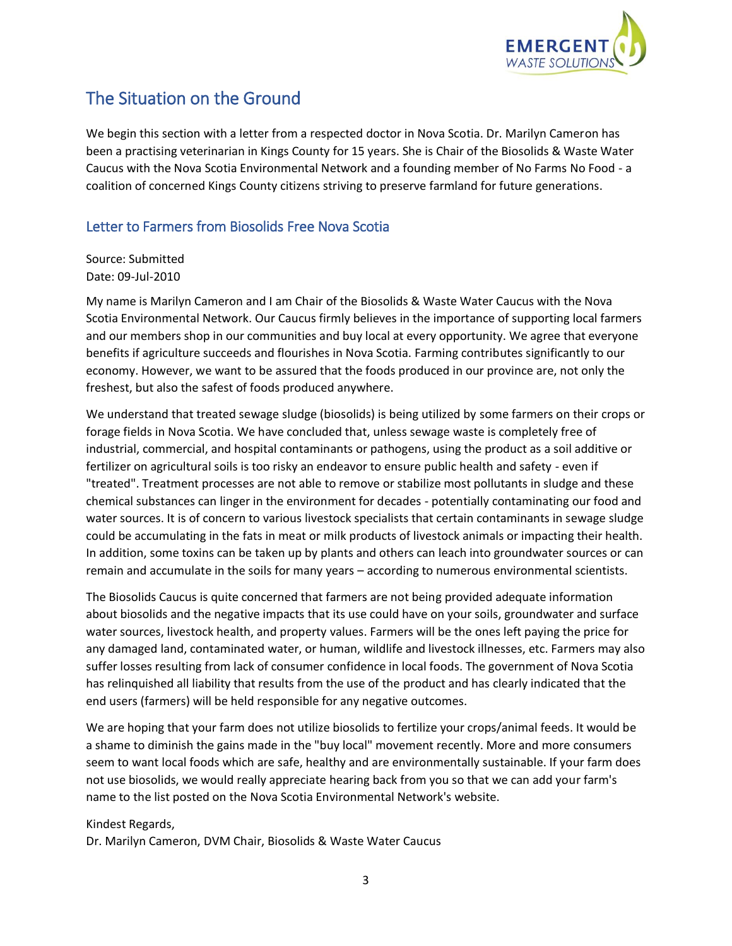

## <span id="page-2-0"></span>The Situation on the Ground

We begin this section with a letter from a respected doctor in Nova Scotia. Dr. Marilyn Cameron has been a practising veterinarian in Kings County for 15 years. She is Chair of the Biosolids & Waste Water Caucus with the Nova Scotia Environmental Network and a founding member of No Farms No Food - a coalition of concerned Kings County citizens striving to preserve farmland for future generations.

#### <span id="page-2-1"></span>Letter to Farmers from Biosolids Free Nova Scotia

Source: Submitted Date: 09-Jul-2010

My name is Marilyn Cameron and I am Chair of the Biosolids & Waste Water Caucus with the Nova Scotia Environmental Network. Our Caucus firmly believes in the importance of supporting local farmers and our members shop in our communities and buy local at every opportunity. We agree that everyone benefits if agriculture succeeds and flourishes in Nova Scotia. Farming contributes significantly to our economy. However, we want to be assured that the foods produced in our province are, not only the freshest, but also the safest of foods produced anywhere.

We understand that treated sewage sludge (biosolids) is being utilized by some farmers on their crops or forage fields in Nova Scotia. We have concluded that, unless sewage waste is completely free of industrial, commercial, and hospital contaminants or pathogens, using the product as a soil additive or fertilizer on agricultural soils is too risky an endeavor to ensure public health and safety - even if "treated". Treatment processes are not able to remove or stabilize most pollutants in sludge and these chemical substances can linger in the environment for decades - potentially contaminating our food and water sources. It is of concern to various livestock specialists that certain contaminants in sewage sludge could be accumulating in the fats in meat or milk products of livestock animals or impacting their health. In addition, some toxins can be taken up by plants and others can leach into groundwater sources or can remain and accumulate in the soils for many years – according to numerous environmental scientists.

The Biosolids Caucus is quite concerned that farmers are not being provided adequate information about biosolids and the negative impacts that its use could have on your soils, groundwater and surface water sources, livestock health, and property values. Farmers will be the ones left paying the price for any damaged land, contaminated water, or human, wildlife and livestock illnesses, etc. Farmers may also suffer losses resulting from lack of consumer confidence in local foods. The government of Nova Scotia has relinquished all liability that results from the use of the product and has clearly indicated that the end users (farmers) will be held responsible for any negative outcomes.

We are hoping that your farm does not utilize biosolids to fertilize your crops/animal feeds. It would be a shame to diminish the gains made in the "buy local" movement recently. More and more consumers seem to want local foods which are safe, healthy and are environmentally sustainable. If your farm does not use biosolids, we would really appreciate hearing back from you so that we can add your farm's name to the list posted on the Nova Scotia Environmental Network's website.

#### Kindest Regards,

Dr. Marilyn Cameron, DVM Chair, Biosolids & Waste Water Caucus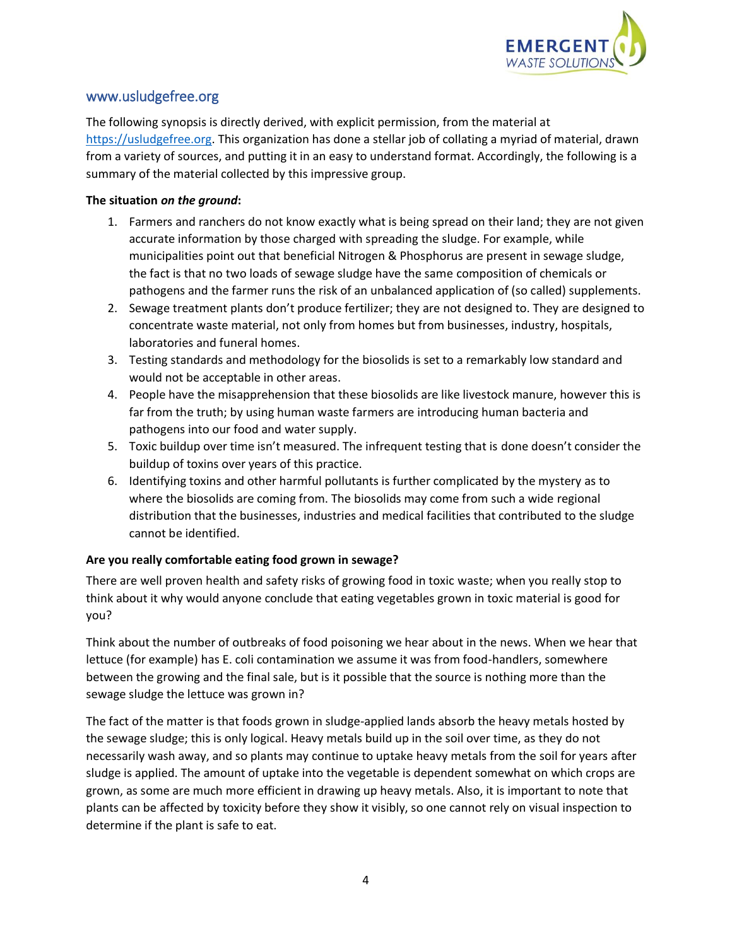

#### <span id="page-3-0"></span>www.usludgefree.org

The following synopsis is directly derived, with explicit permission, from the material at [https://usludgefree.org.](https://usludgefree.org/) This organization has done a stellar job of collating a myriad of material, drawn from a variety of sources, and putting it in an easy to understand format. Accordingly, the following is a summary of the material collected by this impressive group.

#### **The situation** *on the ground***:**

- 1. Farmers and ranchers do not know exactly what is being spread on their land; they are not given accurate information by those charged with spreading the sludge. For example, while municipalities point out that beneficial Nitrogen & Phosphorus are present in sewage sludge, the fact is that no two loads of sewage sludge have the same composition of chemicals or pathogens and the farmer runs the risk of an unbalanced application of (so called) supplements.
- 2. Sewage treatment plants don't produce fertilizer; they are not designed to. They are designed to concentrate waste material, not only from homes but from businesses, industry, hospitals, laboratories and funeral homes.
- 3. Testing standards and methodology for the biosolids is set to a remarkably low standard and would not be acceptable in other areas.
- 4. People have the misapprehension that these biosolids are like livestock manure, however this is far from the truth; by using human waste farmers are introducing human bacteria and pathogens into our food and water supply.
- 5. Toxic buildup over time isn't measured. The infrequent testing that is done doesn't consider the buildup of toxins over years of this practice.
- 6. Identifying toxins and other harmful pollutants is further complicated by the mystery as to where the biosolids are coming from. The biosolids may come from such a wide regional distribution that the businesses, industries and medical facilities that contributed to the sludge cannot be identified.

#### **Are you really comfortable eating food grown in sewage?**

There are well proven health and safety risks of growing food in toxic waste; when you really stop to think about it why would anyone conclude that eating vegetables grown in toxic material is good for you?

Think about the number of outbreaks of food poisoning we hear about in the news. When we hear that lettuce (for example) has E. coli contamination we assume it was from food-handlers, somewhere between the growing and the final sale, but is it possible that the source is nothing more than the sewage sludge the lettuce was grown in?

The fact of the matter is that foods grown in sludge-applied lands absorb the heavy metals hosted by the sewage sludge; this is only logical. Heavy metals build up in the soil over time, as they do not necessarily wash away, and so plants may continue to uptake heavy metals from the soil for years after sludge is applied. The amount of uptake into the vegetable is dependent somewhat on which crops are grown, as some are much more efficient in drawing up heavy metals. Also, it is important to note that plants can be affected by toxicity before they show it visibly, so one cannot rely on visual inspection to determine if the plant is safe to eat.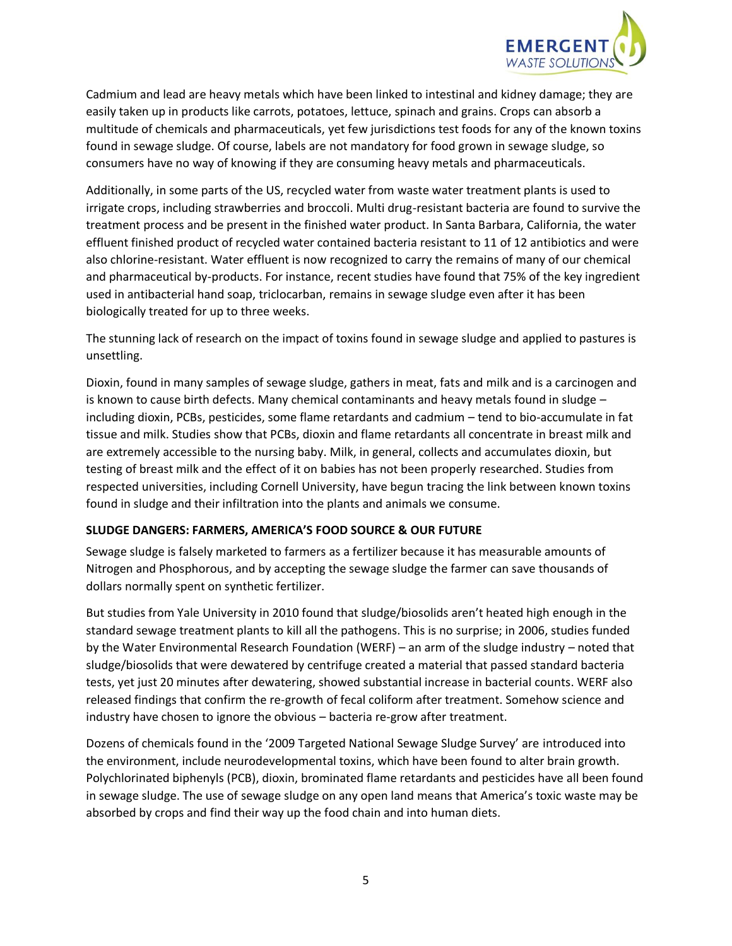

Cadmium and lead are heavy metals which have been linked to intestinal and kidney damage; they are easily taken up in products like carrots, potatoes, lettuce, spinach and grains. Crops can absorb a multitude of chemicals and pharmaceuticals, yet few jurisdictions test foods for any of the known toxins found in sewage sludge. Of course, labels are not mandatory for food grown in sewage sludge, so consumers have no way of knowing if they are consuming heavy metals and pharmaceuticals.

Additionally, in some parts of the US, recycled water from waste water treatment plants is used to irrigate crops, including strawberries and broccoli. Multi drug-resistant bacteria are found to survive the treatment process and be present in the finished water product. In Santa Barbara, California, the water effluent finished product of recycled water contained bacteria resistant to 11 of 12 antibiotics and were also chlorine-resistant. Water effluent is now recognized to carry the remains of many of our chemical and pharmaceutical by-products. For instance, recent studies have found that 75% of the key ingredient used in antibacterial hand soap, triclocarban, remains in sewage sludge even after it has been biologically treated for up to three weeks.

The stunning lack of research on the impact of toxins found in sewage sludge and applied to pastures is unsettling.

Dioxin, found in many samples of sewage sludge, gathers in meat, fats and milk and is a carcinogen and is known to cause birth defects. Many chemical contaminants and heavy metals found in sludge – including dioxin, PCBs, pesticides, some flame retardants and cadmium – tend to bio-accumulate in fat tissue and milk. Studies show that PCBs, dioxin and flame retardants all concentrate in breast milk and are extremely accessible to the nursing baby. Milk, in general, collects and accumulates dioxin, but testing of breast milk and the effect of it on babies has not been properly researched. Studies from respected universities, including Cornell University, have begun tracing the link between known toxins found in sludge and their infiltration into the plants and animals we consume.

#### **SLUDGE DANGERS: FARMERS, AMERICA'S FOOD SOURCE & OUR FUTURE**

Sewage sludge is falsely marketed to farmers as a fertilizer because it has measurable amounts of Nitrogen and Phosphorous, and by accepting the sewage sludge the farmer can save thousands of dollars normally spent on synthetic fertilizer.

But studies from Yale University in 2010 found that sludge/biosolids aren't heated high enough in the standard sewage treatment plants to kill all the pathogens. This is no surprise; in 2006, studies funded by the Water Environmental Research Foundation (WERF) – an arm of the sludge industry – noted that sludge/biosolids that were dewatered by centrifuge created a material that passed standard bacteria tests, yet just 20 minutes after dewatering, showed substantial increase in bacterial counts. WERF also released findings that confirm the re-growth of fecal coliform after treatment. Somehow science and industry have chosen to ignore the obvious – bacteria re-grow after treatment.

Dozens of chemicals found in the '2009 Targeted National Sewage Sludge Survey' are introduced into the environment, include neurodevelopmental toxins, which have been found to alter brain growth. Polychlorinated biphenyls (PCB), dioxin, brominated flame retardants and pesticides have all been found in sewage sludge. The use of sewage sludge on any open land means that America's toxic waste may be absorbed by crops and find their way up the food chain and into human diets.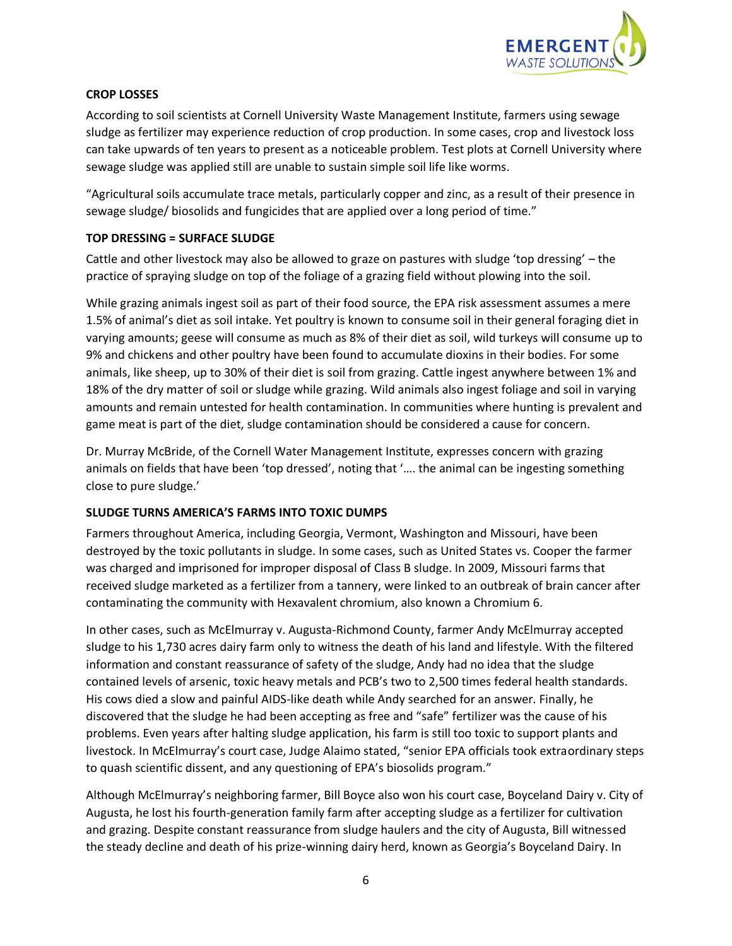

#### **CROP LOSSES**

According to soil scientists at Cornell University Waste Management Institute, farmers using sewage sludge as fertilizer may experience reduction of crop production. In some cases, crop and livestock loss can take upwards of ten years to present as a noticeable problem. Test plots at Cornell University where sewage sludge was applied still are unable to sustain simple soil life like worms.

"Agricultural soils accumulate trace metals, particularly copper and zinc, as a result of their presence in sewage sludge/ biosolids and fungicides that are applied over a long period of time."

#### **TOP DRESSING = SURFACE SLUDGE**

Cattle and other livestock may also be allowed to graze on pastures with sludge 'top dressing' – the practice of spraying sludge on top of the foliage of a grazing field without plowing into the soil.

While grazing animals ingest soil as part of their food source, the EPA risk assessment assumes a mere 1.5% of animal's diet as soil intake. Yet poultry is known to consume soil in their general foraging diet in varying amounts; geese will consume as much as 8% of their diet as soil, wild turkeys will consume up to 9% and chickens and other poultry have been found to accumulate dioxins in their bodies. For some animals, like sheep, up to 30% of their diet is soil from grazing. Cattle ingest anywhere between 1% and 18% of the dry matter of soil or sludge while grazing. Wild animals also ingest foliage and soil in varying amounts and remain untested for health contamination. In communities where hunting is prevalent and game meat is part of the diet, sludge contamination should be considered a cause for concern.

Dr. Murray McBride, of the Cornell Water Management Institute, expresses concern with grazing animals on fields that have been 'top dressed', noting that '…. the animal can be ingesting something close to pure sludge.'

#### **SLUDGE TURNS AMERICA'S FARMS INTO TOXIC DUMPS**

Farmers throughout America, including Georgia, Vermont, Washington and Missouri, have been destroyed by the toxic pollutants in sludge. In some cases, such as United States vs. Cooper the farmer was charged and imprisoned for improper disposal of Class B sludge. In 2009, Missouri farms that received sludge marketed as a fertilizer from a tannery, were linked to an outbreak of brain cancer after contaminating the community with Hexavalent chromium, also known a Chromium 6.

In other cases, such as McElmurray v. Augusta-Richmond County, farmer Andy McElmurray accepted sludge to his 1,730 acres dairy farm only to witness the death of his land and lifestyle. With the filtered information and constant reassurance of safety of the sludge, Andy had no idea that the sludge contained levels of arsenic, toxic heavy metals and PCB's two to 2,500 times federal health standards. His cows died a slow and painful AIDS-like death while Andy searched for an answer. Finally, he discovered that the sludge he had been accepting as free and "safe" fertilizer was the cause of his problems. Even years after halting sludge application, his farm is still too toxic to support plants and livestock. In McElmurray's court case, Judge Alaimo stated, "senior EPA officials took extraordinary steps to quash scientific dissent, and any questioning of EPA's biosolids program."

Although McElmurray's neighboring farmer, Bill Boyce also won his court case, Boyceland Dairy v. City of Augusta, he lost his fourth-generation family farm after accepting sludge as a fertilizer for cultivation and grazing. Despite constant reassurance from sludge haulers and the city of Augusta, Bill witnessed the steady decline and death of his prize-winning dairy herd, known as Georgia's Boyceland Dairy. In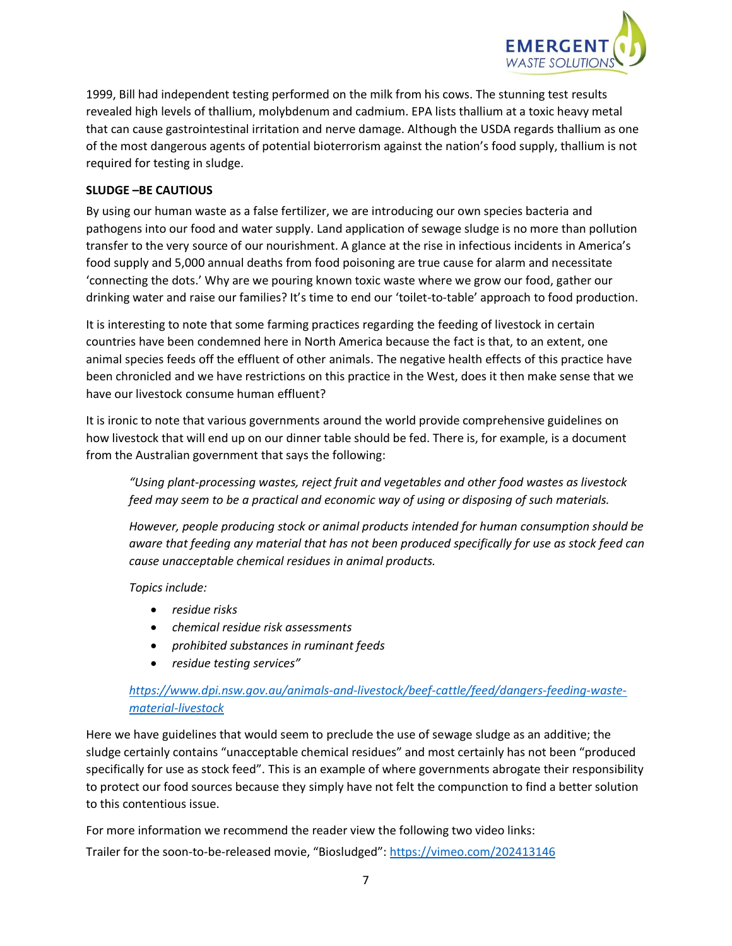

1999, Bill had independent testing performed on the milk from his cows. The stunning test results revealed high levels of thallium, molybdenum and cadmium. EPA lists thallium at a toxic heavy metal that can cause gastrointestinal irritation and nerve damage. Although the USDA regards thallium as one of the most dangerous agents of potential bioterrorism against the nation's food supply, thallium is not required for testing in sludge.

#### **SLUDGE –BE CAUTIOUS**

By using our human waste as a false fertilizer, we are introducing our own species bacteria and pathogens into our food and water supply. Land application of sewage sludge is no more than pollution transfer to the very source of our nourishment. A glance at the rise in infectious incidents in America's food supply and 5,000 annual deaths from food poisoning are true cause for alarm and necessitate 'connecting the dots.' Why are we pouring known toxic waste where we grow our food, gather our drinking water and raise our families? It's time to end our 'toilet-to-table' approach to food production.

It is interesting to note that some farming practices regarding the feeding of livestock in certain countries have been condemned here in North America because the fact is that, to an extent, one animal species feeds off the effluent of other animals. The negative health effects of this practice have been chronicled and we have restrictions on this practice in the West, does it then make sense that we have our livestock consume human effluent?

It is ironic to note that various governments around the world provide comprehensive guidelines on how livestock that will end up on our dinner table should be fed. There is, for example, is a document from the Australian government that says the following:

*"Using plant-processing wastes, reject fruit and vegetables and other food wastes as livestock feed may seem to be a practical and economic way of using or disposing of such materials.*

*However, people producing stock or animal products intended for human consumption should be aware that feeding any material that has not been produced specifically for use as stock feed can cause unacceptable chemical residues in animal products.*

*Topics include:*

- *residue risks*
- *chemical residue risk assessments*
- *prohibited substances in ruminant feeds*
- *residue testing services"*

#### *[https://www.dpi.nsw.gov.au/animals-and-livestock/beef-cattle/feed/dangers-feeding-waste](https://www.dpi.nsw.gov.au/animals-and-livestock/beef-cattle/feed/dangers-feeding-waste-material-livestock)[material-livestock](https://www.dpi.nsw.gov.au/animals-and-livestock/beef-cattle/feed/dangers-feeding-waste-material-livestock)*

Here we have guidelines that would seem to preclude the use of sewage sludge as an additive; the sludge certainly contains "unacceptable chemical residues" and most certainly has not been "produced specifically for use as stock feed". This is an example of where governments abrogate their responsibility to protect our food sources because they simply have not felt the compunction to find a better solution to this contentious issue.

For more information we recommend the reader view the following two video links: Trailer for the soon-to-be-released movie, "Biosludged": <https://vimeo.com/202413146>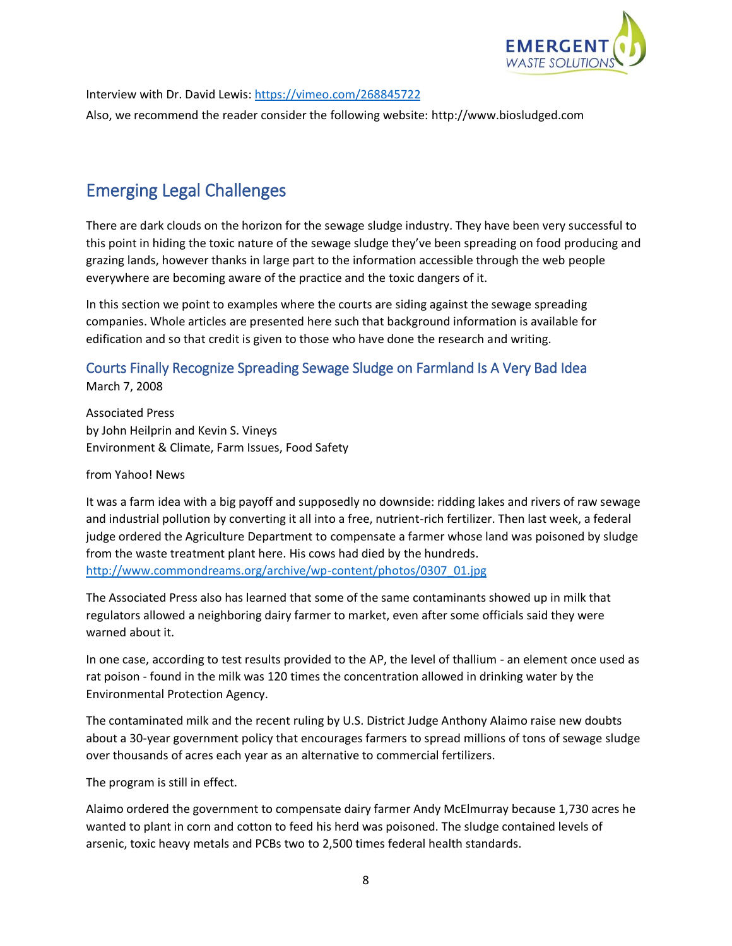

Interview with Dr. David Lewis:<https://vimeo.com/268845722> Also, we recommend the reader consider the following website: http://www.biosludged.com

## <span id="page-7-0"></span>Emerging Legal Challenges

There are dark clouds on the horizon for the sewage sludge industry. They have been very successful to this point in hiding the toxic nature of the sewage sludge they've been spreading on food producing and grazing lands, however thanks in large part to the information accessible through the web people everywhere are becoming aware of the practice and the toxic dangers of it.

In this section we point to examples where the courts are siding against the sewage spreading companies. Whole articles are presented here such that background information is available for edification and so that credit is given to those who have done the research and writing.

#### <span id="page-7-1"></span>Courts Finally Recognize Spreading Sewage Sludge on Farmland Is A Very Bad Idea

March 7, 2008

Associated Press by John Heilprin and Kevin S. Vineys Environment & Climate, Farm Issues, Food Safety

from Yahoo! News

It was a farm idea with a big payoff and supposedly no downside: ridding lakes and rivers of raw sewage and industrial pollution by converting it all into a free, nutrient-rich fertilizer. Then last week, a federal judge ordered the Agriculture Department to compensate a farmer whose land was poisoned by sludge from the waste treatment plant here. His cows had died by the hundreds. [http://www.commondreams.org/archive/wp-content/photos/0307\\_01.jpg](http://www.commondreams.org/archive/wp-content/photos/0307_01.jpg)

The Associated Press also has learned that some of the same contaminants showed up in milk that regulators allowed a neighboring dairy farmer to market, even after some officials said they were warned about it.

In one case, according to test results provided to the AP, the level of thallium - an element once used as rat poison - found in the milk was 120 times the concentration allowed in drinking water by the Environmental Protection Agency.

The contaminated milk and the recent ruling by U.S. District Judge Anthony Alaimo raise new doubts about a 30-year government policy that encourages farmers to spread millions of tons of sewage sludge over thousands of acres each year as an alternative to commercial fertilizers.

The program is still in effect.

Alaimo ordered the government to compensate dairy farmer Andy McElmurray because 1,730 acres he wanted to plant in corn and cotton to feed his herd was poisoned. The sludge contained levels of arsenic, toxic heavy metals and PCBs two to 2,500 times federal health standards.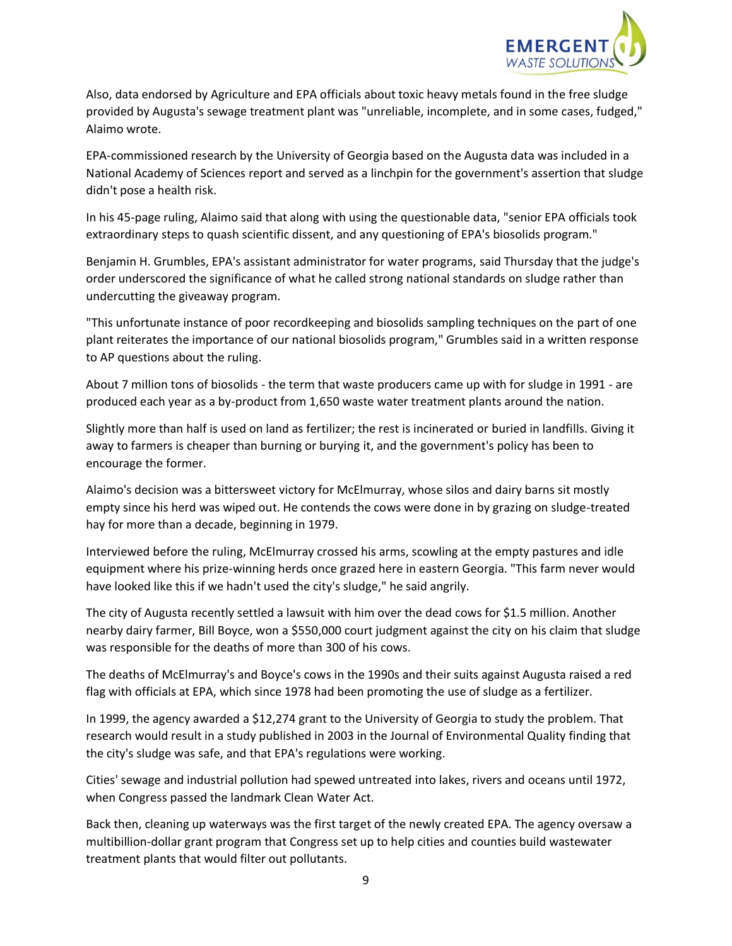

Also, data endorsed by Agriculture and EPA officials about toxic heavy metals found in the free sludge provided by Augusta's sewage treatment plant was "unreliable, incomplete, and in some cases, fudged," Alaimo wrote.

EPA-commissioned research by the University of Georgia based on the Augusta data was included in a National Academy of Sciences report and served as a linchpin for the government's assertion that sludge didn't pose a health risk.

In his 45-page ruling, Alaimo said that along with using the questionable data, "senior EPA officials took extraordinary steps to quash scientific dissent, and any questioning of EPA's biosolids program."

Benjamin H. Grumbles, EPA's assistant administrator for water programs, said Thursday that the judge's order underscored the significance of what he called strong national standards on sludge rather than undercutting the giveaway program.

"This unfortunate instance of poor recordkeeping and biosolids sampling techniques on the part of one plant reiterates the importance of our national biosolids program," Grumbles said in a written response to AP questions about the ruling.

About 7 million tons of biosolids - the term that waste producers came up with for sludge in 1991 - are produced each year as a by-product from 1,650 waste water treatment plants around the nation.

Slightly more than half is used on land as fertilizer; the rest is incinerated or buried in landfills. Giving it away to farmers is cheaper than burning or burying it, and the government's policy has been to encourage the former.

Alaimo's decision was a bittersweet victory for McElmurray, whose silos and dairy barns sit mostly empty since his herd was wiped out. He contends the cows were done in by grazing on sludge-treated hay for more than a decade, beginning in 1979.

Interviewed before the ruling, McElmurray crossed his arms, scowling at the empty pastures and idle equipment where his prize-winning herds once grazed here in eastern Georgia. "This farm never would have looked like this if we hadn't used the city's sludge," he said angrily.

The city of Augusta recently settled a lawsuit with him over the dead cows for \$1.5 million. Another nearby dairy farmer, Bill Boyce, won a \$550,000 court judgment against the city on his claim that sludge was responsible for the deaths of more than 300 of his cows.

The deaths of McElmurray's and Boyce's cows in the 1990s and their suits against Augusta raised a red flag with officials at EPA, which since 1978 had been promoting the use of sludge as a fertilizer.

In 1999, the agency awarded a \$12,274 grant to the University of Georgia to study the problem. That research would result in a study published in 2003 in the Journal of Environmental Quality finding that the city's sludge was safe, and that EPA's regulations were working.

Cities' sewage and industrial pollution had spewed untreated into lakes, rivers and oceans until 1972, when Congress passed the landmark Clean Water Act.

Back then, cleaning up waterways was the first target of the newly created EPA. The agency oversaw a multibillion-dollar grant program that Congress set up to help cities and counties build wastewater treatment plants that would filter out pollutants.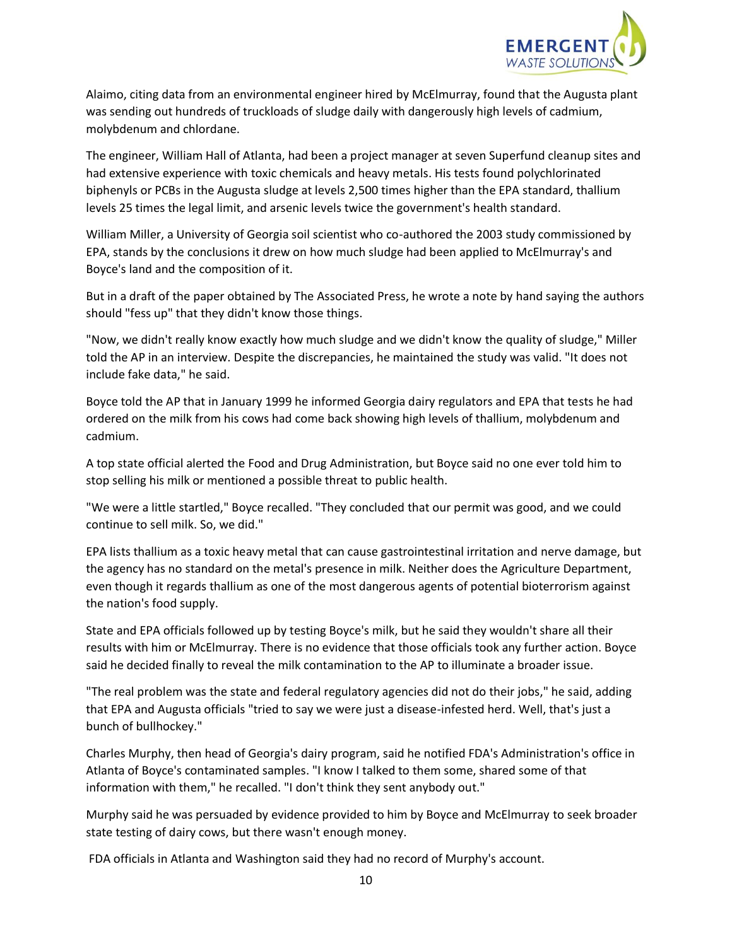

Alaimo, citing data from an environmental engineer hired by McElmurray, found that the Augusta plant was sending out hundreds of truckloads of sludge daily with dangerously high levels of cadmium, molybdenum and chlordane.

The engineer, William Hall of Atlanta, had been a project manager at seven Superfund cleanup sites and had extensive experience with toxic chemicals and heavy metals. His tests found polychlorinated biphenyls or PCBs in the Augusta sludge at levels 2,500 times higher than the EPA standard, thallium levels 25 times the legal limit, and arsenic levels twice the government's health standard.

William Miller, a University of Georgia soil scientist who co-authored the 2003 study commissioned by EPA, stands by the conclusions it drew on how much sludge had been applied to McElmurray's and Boyce's land and the composition of it.

But in a draft of the paper obtained by The Associated Press, he wrote a note by hand saying the authors should "fess up" that they didn't know those things.

"Now, we didn't really know exactly how much sludge and we didn't know the quality of sludge," Miller told the AP in an interview. Despite the discrepancies, he maintained the study was valid. "It does not include fake data," he said.

Boyce told the AP that in January 1999 he informed Georgia dairy regulators and EPA that tests he had ordered on the milk from his cows had come back showing high levels of thallium, molybdenum and cadmium.

A top state official alerted the Food and Drug Administration, but Boyce said no one ever told him to stop selling his milk or mentioned a possible threat to public health.

"We were a little startled," Boyce recalled. "They concluded that our permit was good, and we could continue to sell milk. So, we did."

EPA lists thallium as a toxic heavy metal that can cause gastrointestinal irritation and nerve damage, but the agency has no standard on the metal's presence in milk. Neither does the Agriculture Department, even though it regards thallium as one of the most dangerous agents of potential bioterrorism against the nation's food supply.

State and EPA officials followed up by testing Boyce's milk, but he said they wouldn't share all their results with him or McElmurray. There is no evidence that those officials took any further action. Boyce said he decided finally to reveal the milk contamination to the AP to illuminate a broader issue.

"The real problem was the state and federal regulatory agencies did not do their jobs," he said, adding that EPA and Augusta officials "tried to say we were just a disease-infested herd. Well, that's just a bunch of bullhockey."

Charles Murphy, then head of Georgia's dairy program, said he notified FDA's Administration's office in Atlanta of Boyce's contaminated samples. "I know I talked to them some, shared some of that information with them," he recalled. "I don't think they sent anybody out."

Murphy said he was persuaded by evidence provided to him by Boyce and McElmurray to seek broader state testing of dairy cows, but there wasn't enough money.

FDA officials in Atlanta and Washington said they had no record of Murphy's account.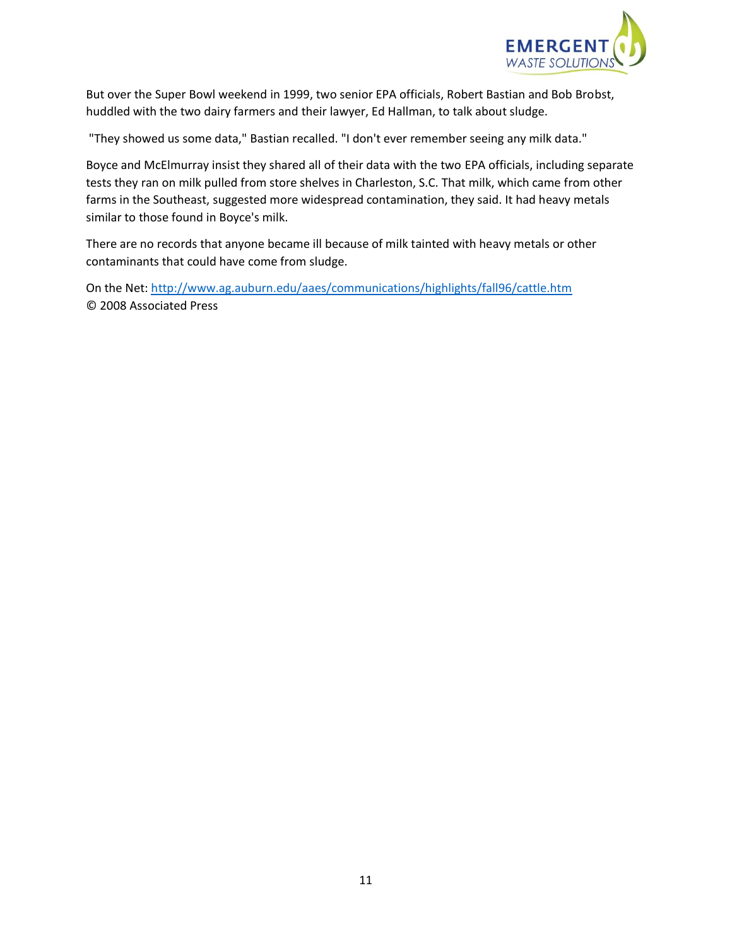

But over the Super Bowl weekend in 1999, two senior EPA officials, Robert Bastian and Bob Brobst, huddled with the two dairy farmers and their lawyer, Ed Hallman, to talk about sludge.

"They showed us some data," Bastian recalled. "I don't ever remember seeing any milk data."

Boyce and McElmurray insist they shared all of their data with the two EPA officials, including separate tests they ran on milk pulled from store shelves in Charleston, S.C. That milk, which came from other farms in the Southeast, suggested more widespread contamination, they said. It had heavy metals similar to those found in Boyce's milk.

There are no records that anyone became ill because of milk tainted with heavy metals or other contaminants that could have come from sludge.

On the Net:<http://www.ag.auburn.edu/aaes/communications/highlights/fall96/cattle.htm> © 2008 Associated Press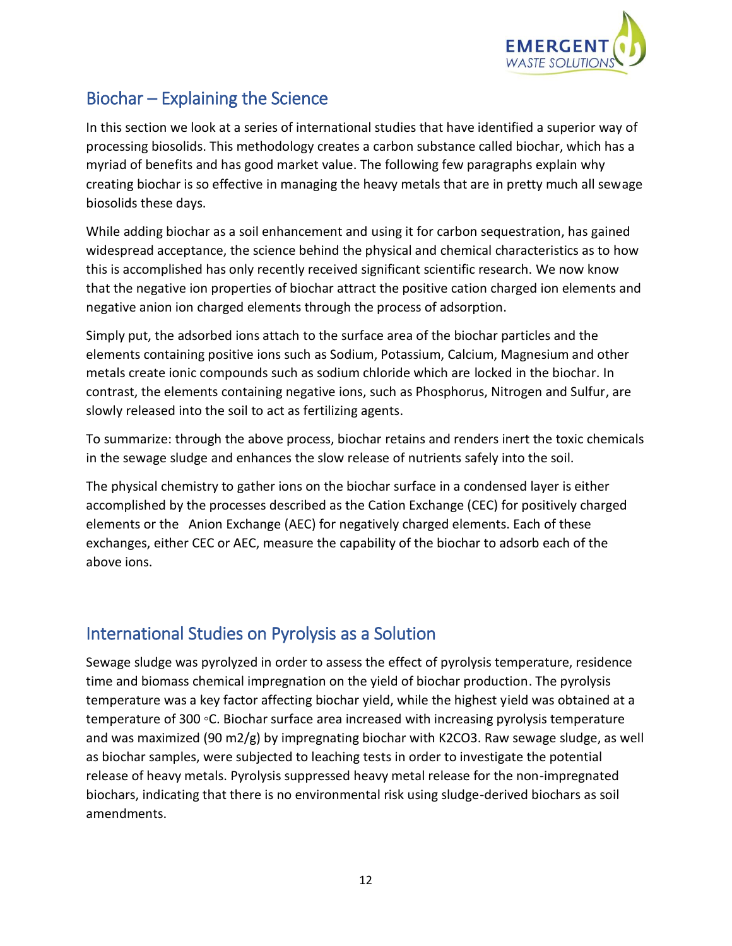

## <span id="page-11-0"></span>Biochar – Explaining the Science

In this section we look at a series of international studies that have identified a superior way of processing biosolids. This methodology creates a carbon substance called biochar, which has a myriad of benefits and has good market value. The following few paragraphs explain why creating biochar is so effective in managing the heavy metals that are in pretty much all sewage biosolids these days.

While adding biochar as a soil enhancement and using it for carbon sequestration, has gained widespread acceptance, the science behind the physical and chemical characteristics as to how this is accomplished has only recently received significant scientific research. We now know that the negative ion properties of biochar attract the positive cation charged ion elements and negative anion ion charged elements through the process of adsorption.

Simply put, the adsorbed ions attach to the surface area of the biochar particles and the elements containing positive ions such as Sodium, Potassium, Calcium, Magnesium and other metals create ionic compounds such as sodium chloride which are locked in the biochar. In contrast, the elements containing negative ions, such as Phosphorus, Nitrogen and Sulfur, are slowly released into the soil to act as fertilizing agents.

To summarize: through the above process, biochar retains and renders inert the toxic chemicals in the sewage sludge and enhances the slow release of nutrients safely into the soil.

The physical chemistry to gather ions on the biochar surface in a condensed layer is either accomplished by the processes described as the Cation Exchange (CEC) for positively charged elements or the Anion Exchange (AEC) for negatively charged elements. Each of these exchanges, either CEC or AEC, measure the capability of the biochar to adsorb each of the above ions.

### <span id="page-11-1"></span>International Studies on Pyrolysis as a Solution

Sewage sludge was pyrolyzed in order to assess the effect of pyrolysis temperature, residence time and biomass chemical impregnation on the yield of biochar production. The pyrolysis temperature was a key factor affecting biochar yield, while the highest yield was obtained at a temperature of 300 °C. Biochar surface area increased with increasing pyrolysis temperature and was maximized (90 m2/g) by impregnating biochar with K2CO3. Raw sewage sludge, as well as biochar samples, were subjected to leaching tests in order to investigate the potential release of heavy metals. Pyrolysis suppressed heavy metal release for the non-impregnated biochars, indicating that there is no environmental risk using sludge-derived biochars as soil amendments.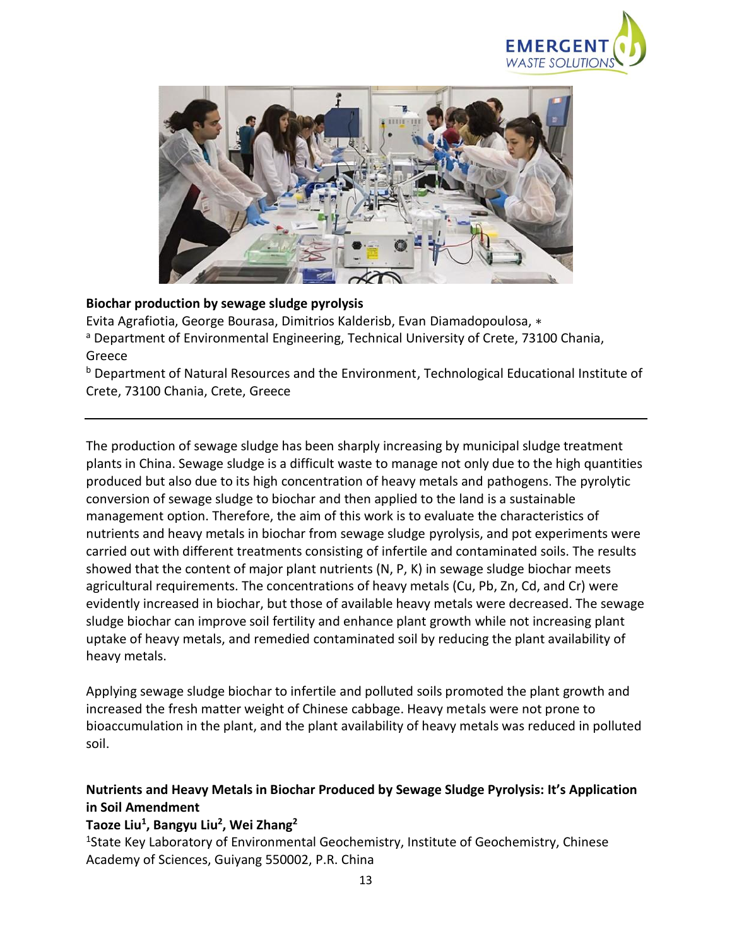



#### **Biochar production by sewage sludge pyrolysis**

Evita Agrafiotia, George Bourasa, Dimitrios Kalderisb, Evan Diamadopoulosa, ∗

<sup>a</sup> Department of Environmental Engineering, Technical University of Crete, 73100 Chania, Greece

**b** Department of Natural Resources and the Environment, Technological Educational Institute of Crete, 73100 Chania, Crete, Greece

The production of sewage sludge has been sharply increasing by municipal sludge treatment plants in China. Sewage sludge is a difficult waste to manage not only due to the high quantities produced but also due to its high concentration of heavy metals and pathogens. The pyrolytic conversion of sewage sludge to biochar and then applied to the land is a sustainable management option. Therefore, the aim of this work is to evaluate the characteristics of nutrients and heavy metals in biochar from sewage sludge pyrolysis, and pot experiments were carried out with different treatments consisting of infertile and contaminated soils. The results showed that the content of major plant nutrients (N, P, K) in sewage sludge biochar meets agricultural requirements. The concentrations of heavy metals (Cu, Pb, Zn, Cd, and Cr) were evidently increased in biochar, but those of available heavy metals were decreased. The sewage sludge biochar can improve soil fertility and enhance plant growth while not increasing plant uptake of heavy metals, and remedied contaminated soil by reducing the plant availability of heavy metals.

Applying sewage sludge biochar to infertile and polluted soils promoted the plant growth and increased the fresh matter weight of Chinese cabbage. Heavy metals were not prone to bioaccumulation in the plant, and the plant availability of heavy metals was reduced in polluted soil.

#### **Nutrients and Heavy Metals in Biochar Produced by Sewage Sludge Pyrolysis: It's Application in Soil Amendment**

#### **Taoze Liu<sup>1</sup> , Bangyu Liu<sup>2</sup> , Wei Zhang<sup>2</sup>**

<sup>1</sup>State Key Laboratory of Environmental Geochemistry, Institute of Geochemistry, Chinese Academy of Sciences, Guiyang 550002, P.R. China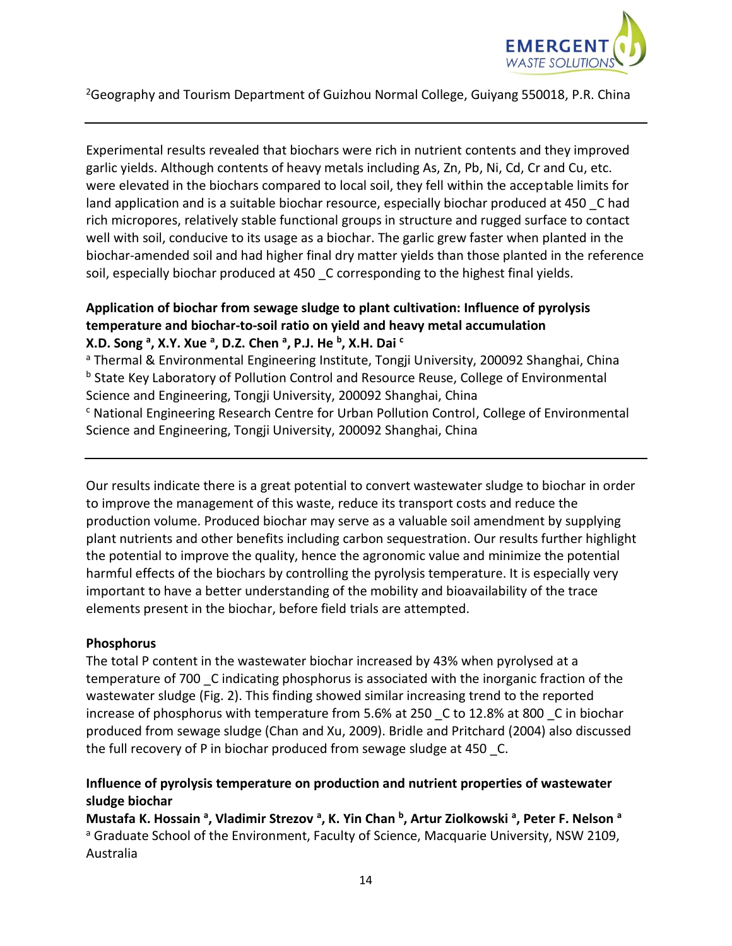

<sup>2</sup>Geography and Tourism Department of Guizhou Normal College, Guiyang 550018, P.R. China

Experimental results revealed that biochars were rich in nutrient contents and they improved garlic yields. Although contents of heavy metals including As, Zn, Pb, Ni, Cd, Cr and Cu, etc. were elevated in the biochars compared to local soil, they fell within the acceptable limits for land application and is a suitable biochar resource, especially biochar produced at 450 C had rich micropores, relatively stable functional groups in structure and rugged surface to contact well with soil, conducive to its usage as a biochar. The garlic grew faster when planted in the biochar-amended soil and had higher final dry matter yields than those planted in the reference soil, especially biochar produced at 450 C corresponding to the highest final yields.

#### **Application of biochar from sewage sludge to plant cultivation: Influence of pyrolysis temperature and biochar-to-soil ratio on yield and heavy metal accumulation X.D. Song <sup>a</sup> , X.Y. Xue <sup>a</sup> , D.Z. Chen <sup>a</sup> , P.J. He <sup>b</sup> , X.H. Dai <sup>c</sup>**

a Thermal & Environmental Engineering Institute, Tongji University, 200092 Shanghai, China <sup>b</sup> State Key Laboratory of Pollution Control and Resource Reuse, College of Environmental Science and Engineering, Tongji University, 200092 Shanghai, China <sup>c</sup> National Engineering Research Centre for Urban Pollution Control, College of Environmental Science and Engineering, Tongji University, 200092 Shanghai, China

Our results indicate there is a great potential to convert wastewater sludge to biochar in order to improve the management of this waste, reduce its transport costs and reduce the production volume. Produced biochar may serve as a valuable soil amendment by supplying plant nutrients and other benefits including carbon sequestration. Our results further highlight the potential to improve the quality, hence the agronomic value and minimize the potential harmful effects of the biochars by controlling the pyrolysis temperature. It is especially very important to have a better understanding of the mobility and bioavailability of the trace elements present in the biochar, before field trials are attempted.

#### **Phosphorus**

The total P content in the wastewater biochar increased by 43% when pyrolysed at a temperature of 700 C indicating phosphorus is associated with the inorganic fraction of the wastewater sludge (Fig. 2). This finding showed similar increasing trend to the reported increase of phosphorus with temperature from 5.6% at 250 C to 12.8% at 800 C in biochar produced from sewage sludge (Chan and Xu, 2009). Bridle and Pritchard (2004) also discussed the full recovery of P in biochar produced from sewage sludge at 450 \_C.

#### **Influence of pyrolysis temperature on production and nutrient properties of wastewater sludge biochar**

**Mustafa K. Hossain <sup>a</sup> , Vladimir Strezov <sup>a</sup> , K. Yin Chan <sup>b</sup> , Artur Ziolkowski <sup>a</sup> , Peter F. Nelson <sup>a</sup>** <sup>a</sup> Graduate School of the Environment, Faculty of Science, Macquarie University, NSW 2109, Australia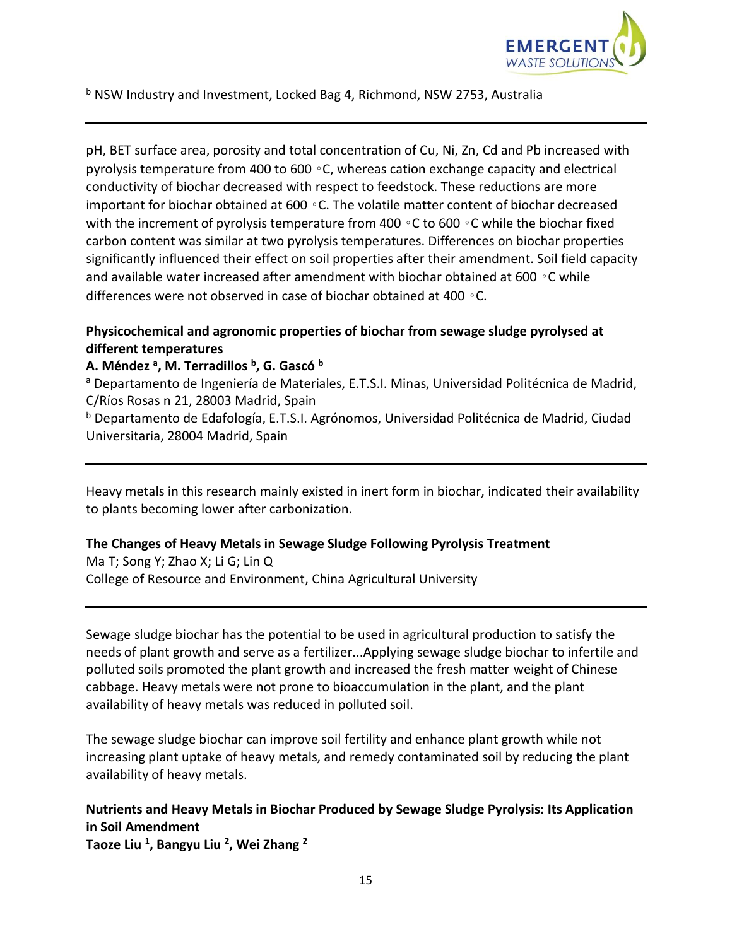

<sup>b</sup> NSW Industry and Investment, Locked Bag 4, Richmond, NSW 2753, Australia

pH, BET surface area, porosity and total concentration of Cu, Ni, Zn, Cd and Pb increased with pyrolysis temperature from 400 to 600 ◦C, whereas cation exchange capacity and electrical conductivity of biochar decreased with respect to feedstock. These reductions are more important for biochar obtained at 600 ◦C. The volatile matter content of biochar decreased with the increment of pyrolysis temperature from 400 °C to 600 °C while the biochar fixed carbon content was similar at two pyrolysis temperatures. Differences on biochar properties significantly influenced their effect on soil properties after their amendment. Soil field capacity and available water increased after amendment with biochar obtained at 600 ◦C while differences were not observed in case of biochar obtained at 400 ◦C.

#### **Physicochemical and agronomic properties of biochar from sewage sludge pyrolysed at different temperatures**

#### **A. Méndez <sup>a</sup> , M. Terradillos <sup>b</sup> , G. Gascó <sup>b</sup>**

<sup>a</sup> Departamento de Ingeniería de Materiales, E.T.S.I. Minas, Universidad Politécnica de Madrid, C/Ríos Rosas n 21, 28003 Madrid, Spain

<sup>b</sup> Departamento de Edafología, E.T.S.I. Agrónomos, Universidad Politécnica de Madrid, Ciudad Universitaria, 28004 Madrid, Spain

Heavy metals in this research mainly existed in inert form in biochar, indicated their availability to plants becoming lower after carbonization.

#### **The Changes of Heavy Metals in Sewage Sludge Following Pyrolysis Treatment**

Ma T; Song Y; Zhao X; Li G; Lin Q College of Resource and Environment, China Agricultural University

Sewage sludge biochar has the potential to be used in agricultural production to satisfy the needs of plant growth and serve as a fertilizer...Applying sewage sludge biochar to infertile and polluted soils promoted the plant growth and increased the fresh matter weight of Chinese cabbage. Heavy metals were not prone to bioaccumulation in the plant, and the plant availability of heavy metals was reduced in polluted soil.

The sewage sludge biochar can improve soil fertility and enhance plant growth while not increasing plant uptake of heavy metals, and remedy contaminated soil by reducing the plant availability of heavy metals.

#### **Nutrients and Heavy Metals in Biochar Produced by Sewage Sludge Pyrolysis: Its Application in Soil Amendment**

**Taoze Liu <sup>1</sup> , Bangyu Liu <sup>2</sup> , Wei Zhang <sup>2</sup>**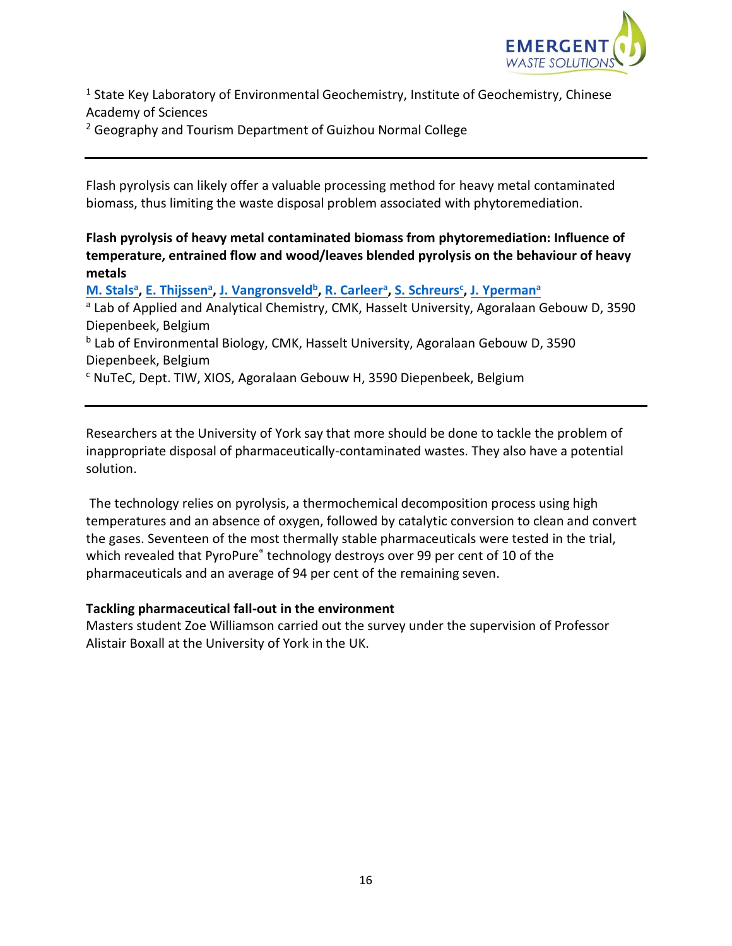

<sup>1</sup> State Key Laboratory of Environmental Geochemistry, Institute of Geochemistry, Chinese Academy of Sciences

<sup>2</sup> Geography and Tourism Department of Guizhou Normal College

Flash pyrolysis can likely offer a valuable processing method for heavy metal contaminated biomass, thus limiting the waste disposal problem associated with phytoremediation.

**Flash pyrolysis of heavy metal contaminated biomass from phytoremediation: Influence of temperature, entrained flow and wood/leaves blended pyrolysis on the behaviour of heavy metals**

**[M. Stals](http://www.sciencedirect.com/science/article/pii/S0165237009001272)[a](http://www.sciencedirect.com/science/article/pii/S0165237009001272#aff1) , [E. Thijssen](http://www.sciencedirect.com/science/article/pii/S0165237009001272)[a](http://www.sciencedirect.com/science/article/pii/S0165237009001272#aff1) , [J. Vangronsveld](http://www.sciencedirect.com/science/article/pii/S0165237009001272)[b](http://www.sciencedirect.com/science/article/pii/S0165237009001272#aff2) , [R. Carleer](http://www.sciencedirect.com/science/article/pii/S0165237009001272)[a](http://www.sciencedirect.com/science/article/pii/S0165237009001272#aff1) , [S. Schreurs](http://www.sciencedirect.com/science/article/pii/S0165237009001272)<sup>c</sup> , [J. Yperman](http://www.sciencedirect.com/science/article/pii/S0165237009001272)<sup>a</sup>**

<sup>a</sup> Lab of Applied and Analytical Chemistry, CMK, Hasselt University, Agoralaan Gebouw D, 3590 Diepenbeek, Belgium

b Lab of Environmental Biology, CMK, Hasselt University, Agoralaan Gebouw D, 3590 Diepenbeek, Belgium

<sup>c</sup> NuTeC, Dept. TIW, XIOS, Agoralaan Gebouw H, 3590 Diepenbeek, Belgium

Researchers at the University of York say that more should be done to tackle the problem of inappropriate disposal of pharmaceutically-contaminated wastes. They also have a potential solution.

The technology relies on pyrolysis, a thermochemical decomposition process using high temperatures and an absence of oxygen, followed by catalytic conversion to clean and convert the gases. Seventeen of the most thermally stable pharmaceuticals were tested in the trial, which revealed that PyroPure® technology destroys over 99 per cent of 10 of the pharmaceuticals and an average of 94 per cent of the remaining seven.

#### **Tackling pharmaceutical fall-out in the environment**

Masters student Zoe Williamson carried out the survey under the supervision of Professor Alistair Boxall at the University of York in the UK.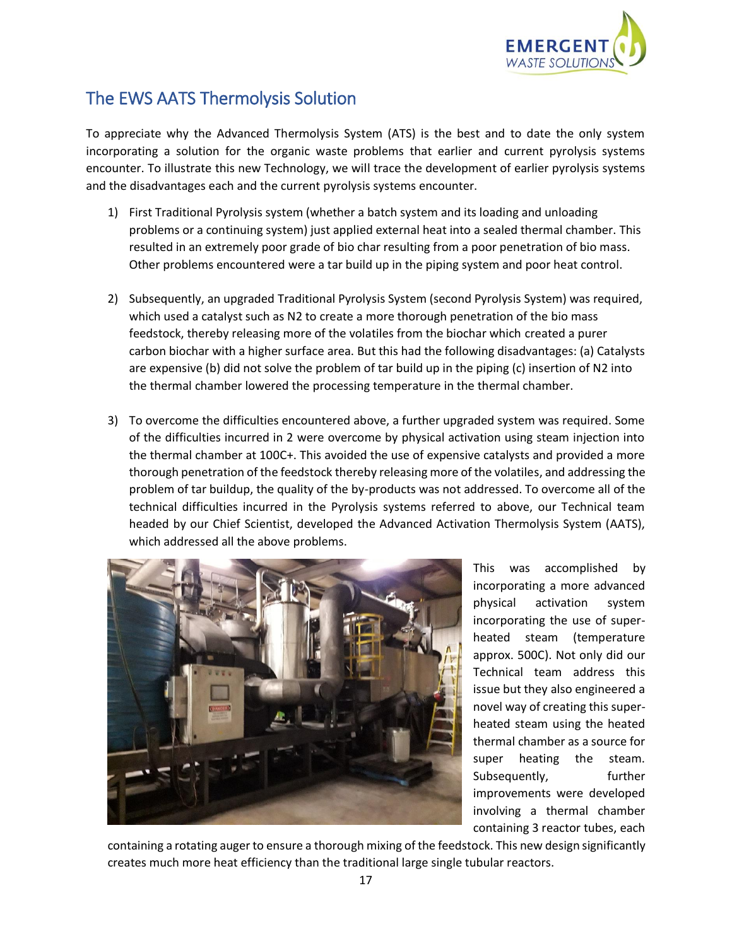

## <span id="page-16-0"></span>The EWS AATS Thermolysis Solution

To appreciate why the Advanced Thermolysis System (ATS) is the best and to date the only system incorporating a solution for the organic waste problems that earlier and current pyrolysis systems encounter. To illustrate this new Technology, we will trace the development of earlier pyrolysis systems and the disadvantages each and the current pyrolysis systems encounter.

- 1) First Traditional Pyrolysis system (whether a batch system and its loading and unloading problems or a continuing system) just applied external heat into a sealed thermal chamber. This resulted in an extremely poor grade of bio char resulting from a poor penetration of bio mass. Other problems encountered were a tar build up in the piping system and poor heat control.
- 2) Subsequently, an upgraded Traditional Pyrolysis System (second Pyrolysis System) was required, which used a catalyst such as N2 to create a more thorough penetration of the bio mass feedstock, thereby releasing more of the volatiles from the biochar which created a purer carbon biochar with a higher surface area. But this had the following disadvantages: (a) Catalysts are expensive (b) did not solve the problem of tar build up in the piping (c) insertion of N2 into the thermal chamber lowered the processing temperature in the thermal chamber.
- 3) To overcome the difficulties encountered above, a further upgraded system was required. Some of the difficulties incurred in 2 were overcome by physical activation using steam injection into the thermal chamber at 100C+. This avoided the use of expensive catalysts and provided a more thorough penetration of the feedstock thereby releasing more of the volatiles, and addressing the problem of tar buildup, the quality of the by-products was not addressed. To overcome all of the technical difficulties incurred in the Pyrolysis systems referred to above, our Technical team headed by our Chief Scientist, developed the Advanced Activation Thermolysis System (AATS), which addressed all the above problems.



This was accomplished by incorporating a more advanced physical activation system incorporating the use of superheated steam (temperature approx. 500C). Not only did our Technical team address this issue but they also engineered a novel way of creating this superheated steam using the heated thermal chamber as a source for super heating the steam. Subsequently, further improvements were developed involving a thermal chamber containing 3 reactor tubes, each

containing a rotating auger to ensure a thorough mixing of the feedstock. This new design significantly creates much more heat efficiency than the traditional large single tubular reactors.